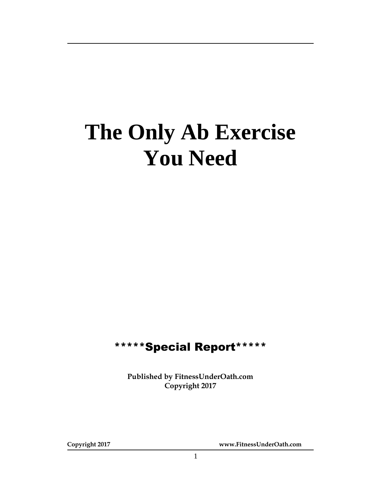# **The Only Ab Exercise You Need**

## \*\*\*\*\*Special Report\*\*\*\*\*

**Published by FitnessUnderOath.com Copyright 2017**

**Copyright 2017 www.FitnessUnderOath.com**

1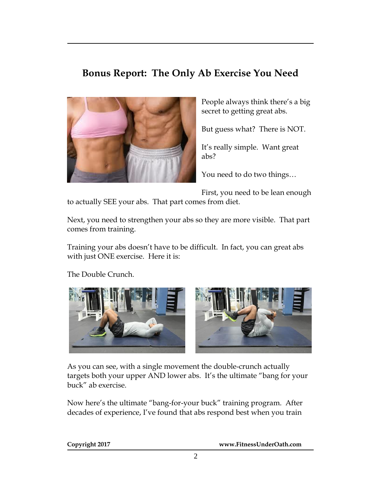#### **Bonus Report: The Only Ab Exercise You Need**



People always think there's a big secret to getting great abs.

But guess what? There is NOT.

It's really simple. Want great abs?

You need to do two things…

First, you need to be lean enough

to actually SEE your abs. That part comes from diet.

Next, you need to strengthen your abs so they are more visible. That part comes from training.

Training your abs doesn't have to be difficult. In fact, you can great abs with just ONE exercise. Here it is:

The Double Crunch.



As you can see, with a single movement the double-crunch actually targets both your upper AND lower abs. It's the ultimate "bang for your buck" ab exercise.

Now here's the ultimate "bang-for-your buck" training program. After decades of experience, I've found that abs respond best when you train

**Copyright 2017 www.FitnessUnderOath.com**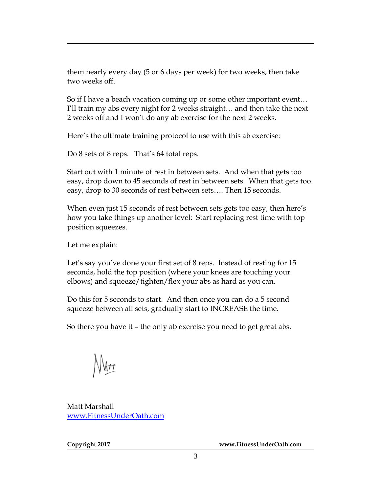them nearly every day (5 or 6 days per week) for two weeks, then take two weeks off.

So if I have a beach vacation coming up or some other important event… I'll train my abs every night for 2 weeks straight… and then take the next 2 weeks off and I won't do any ab exercise for the next 2 weeks.

Here's the ultimate training protocol to use with this ab exercise:

Do 8 sets of 8 reps. That's 64 total reps.

Start out with 1 minute of rest in between sets. And when that gets too easy, drop down to 45 seconds of rest in between sets. When that gets too easy, drop to 30 seconds of rest between sets…. Then 15 seconds.

When even just 15 seconds of rest between sets gets too easy, then here's how you take things up another level: Start replacing rest time with top position squeezes.

Let me explain:

Let's say you've done your first set of 8 reps. Instead of resting for 15 seconds, hold the top position (where your knees are touching your elbows) and squeeze/tighten/flex your abs as hard as you can.

Do this for 5 seconds to start. And then once you can do a 5 second squeeze between all sets, gradually start to INCREASE the time.

So there you have it – the only ab exercise you need to get great abs.

Matt Marshall [www.FitnessUnderOath.com](http://www.fitnessunderoath.com/)

**Copyright 2017 www.FitnessUnderOath.com**